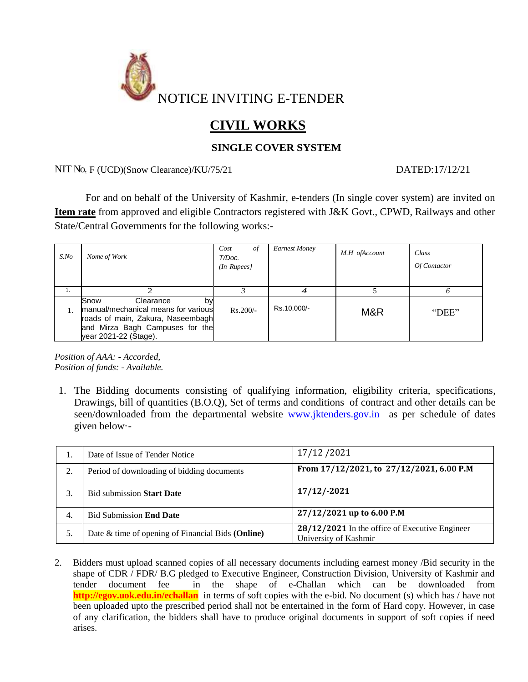

# **CIVIL WORKS**

### **SINGLE COVER SYSTEM**

NIT No. F (UCD)(Snow Clearance)/KU/75/21 DATED:17/12/21

For and on behalf of the University of Kashmir, e-tenders (In single cover system) are invited on **Item rate** from approved and eligible Contractors registered with J&K Govt., CPWD, Railways and other State/Central Governments for the following works:-

| $S$ .No | Nome of Work                                                                                                                                                    | Cost<br>0t<br>T/Doc.<br>$(In$ Rupees $)$ | <b>Earnest Money</b> | M.H ofAccount | Class<br>Of Contactor |
|---------|-----------------------------------------------------------------------------------------------------------------------------------------------------------------|------------------------------------------|----------------------|---------------|-----------------------|
| Ι.      |                                                                                                                                                                 |                                          |                      |               |                       |
|         | Snow<br>Clearance<br>by<br>manual/mechanical means for various<br>roads of main, Zakura, Naseembagh<br>and Mirza Bagh Campuses for the<br>year 2021-22 (Stage). | $Rs.200/-$                               | Rs.10,000/-          | M&R           | "DEE"                 |

*Position of AAA: - Accorded, Position of funds: - Available.*

1. The Bidding documents consisting of qualifying information, eligibility criteria, specifications, Drawings, bill of quantities (B.O.Q), Set of terms and conditions of contract and other details can be seen/downloaded from the departmental website [www.jktenders.gov.in](http://www.jktenders.gov.in/) as per schedule of dates given below·-

| ., | Date of Issue of Tender Notice                    | 17/12/2021                                                              |
|----|---------------------------------------------------|-------------------------------------------------------------------------|
| 2. | Period of downloading of bidding documents        | From 17/12/2021, to 27/12/2021, 6.00 P.M                                |
| 3. | <b>Bid submission Start Date</b>                  | $17/12/-2021$                                                           |
| 4. | <b>Bid Submission End Date</b>                    | 27/12/2021 up to 6.00 P.M                                               |
| 5. | Date & time of opening of Financial Bids (Online) | 28/12/2021 In the office of Executive Engineer<br>University of Kashmir |

2. Bidders must upload scanned copies of all necessary documents including earnest money /Bid security in the shape of CDR / FDR/ B.G pledged to Executive Engineer, Construction Division, University of Kashmir and tender document fee in the shape of e-Challan which can be downloaded from **<http://egov.uok.edu.in/echallan>**in terms of soft copies with the e-bid. No document (s) which has / have not been uploaded upto the prescribed period shall not be entertained in the form of Hard copy. However, in case of any clarification, the bidders shall have to produce original documents in support of soft copies if need arises.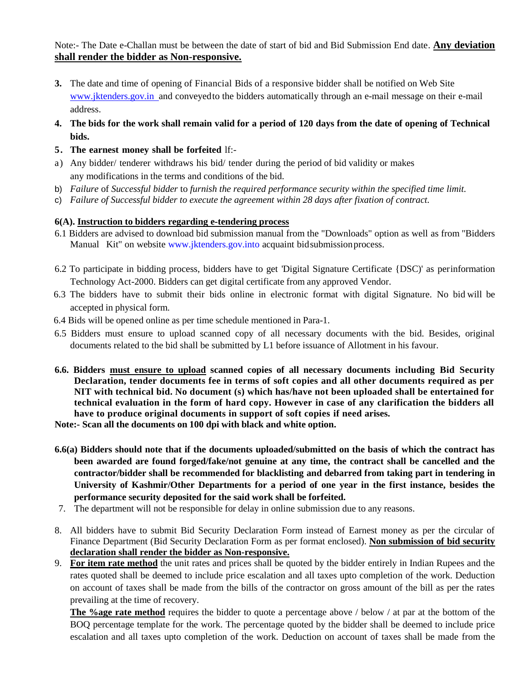Note:- The Date e-Challan must be between the date of start of bid and Bid Submission End date. **Any deviation shall render the bidder as Non-responsive.**

- **3.** The date and time of opening of Financial Bids of a responsive bidder shall be notified on Web Site www.jktenders.gov.in and conveyed to the bidders automatically through an e-mail message on their e-mail address.
- 4. The bids for the work shall remain valid for a period of 120 days from the date of opening of Technical **bids.**
- **5. The earnest money shall be forfeited** lf:-
- a) Any bidder/ tenderer withdraws his bid/ tender during the period of bid validity or makes any modifications in the terms and conditions of the bid.
- b) *Failure* of *Successful bidder* to *furnish the required performance security within the specified time limit.*
- c) *Failure of Successful bidder to execute the agreement within 28 days after fixation of contract.*

#### **6(A). Instruction to bidders regarding e-tendering process**

- 6.1 Bidders are advised to download bid submission manual from the "Downloads" option as well as from "Bidders Manual Kit" on website [www.jktenders.gov.into](http://www.jktenders.gov.into/) acquaint bid submission process.
- 6.2 To participate in bidding process, bidders have to get 'Digital Signature Certificate {DSC)' as perinformation Technology Act-2000. Bidders can get digital certificate from any approved Vendor.
- 6.3 The bidders have to submit their bids online in electronic format with digital Signature. No bid will be accepted in physical form.
- 6.4 Bids will be opened online as per time schedule mentioned in Para-1.
- 6.5 Bidders must ensure to upload scanned copy of all necessary documents with the bid. Besides, original documents related to the bid shall be submitted by L1 before issuance of Allotment in his favour.
- **6.6. Bidders must ensure to upload scanned copies of all necessary documents including Bid Security Declaration, tender documents fee in terms of soft copies and all other documents required as per NIT with technical bid. No document (s) which has/have not been uploaded shall be entertained for technical evaluation in the form of hard copy. However in case of any clarification the bidders all have to produce original documents in support of soft copies if need arises.**

**Note:- Scan all the documents on 100 dpi with black and white option.**

- **6.6(a) Bidders should note that if the documents uploaded/submitted on the basis of which the contract has been awarded are found forged/fake/not genuine at any time, the contract shall be cancelled and the contractor/bidder shall be recommended for blacklisting and debarred from taking part in tendering in University of Kashmir/Other Departments for a period of one year in the first instance, besides the performance security deposited for the said work shall be forfeited.**
- 7. The department will not be responsible for delay in online submission due to any reasons.
- 8. All bidders have to submit Bid Security Declaration Form instead of Earnest money as per the circular of Finance Department (Bid Security Declaration Form as per format enclosed). **Non submission of bid security declaration shall render the bidder as Non-responsive.**
- 9. **For item rate method** the unit rates and prices shall be quoted by the bidder entirely in Indian Rupees and the rates quoted shall be deemed to include price escalation and all taxes upto completion of the work. Deduction on account of taxes shall be made from the bills of the contractor on gross amount of the bill as per the rates prevailing at the time of recovery.

**The %age rate method** requires the bidder to quote a percentage above / below / at par at the bottom of the BOQ percentage template for the work. The percentage quoted by the bidder shall be deemed to include price escalation and all taxes upto completion of the work. Deduction on account of taxes shall be made from the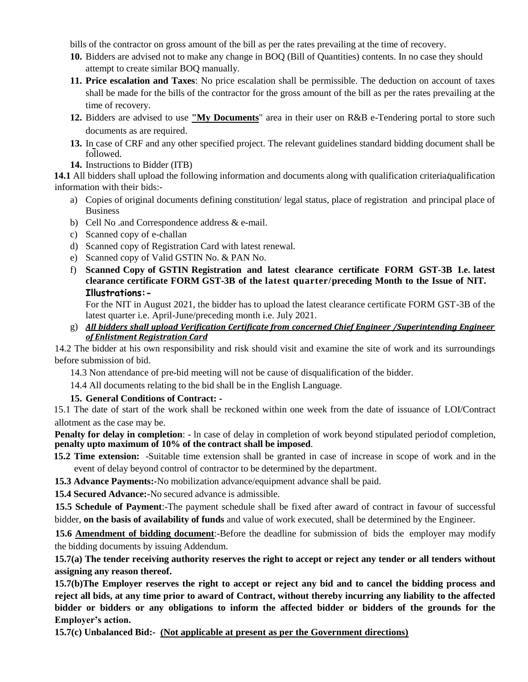bills of the contractor on gross amount of the bill as per the rates prevailing at the time of recovery.

- **10.** Bidders are advised not to make any change in BOQ (Bill of Quantities) contents. In no case they should attempt to create similar BOQ manually.
- **11. Price escalation and Taxes**: No price escalation shall be permissible. The deduction on account of taxes shall be made for the bills of the contractor for the gross amount of the bill as per the rates prevailing at the time of recovery.
- **12.** Bidders are advised to use **"My Documents**" area in their user on R&B e-Tendering portal to store such documents as are required.
- **13.** In case of CRF and any other specified project. The relevant guidelines standard bidding document shall be followed.
- **14.** Instructions to Bidder (ITB)

**14.1** All bidders shall upload the following information and documents along with qualification criteria/qualification information with their bids:-

- a) Copies of original documents defining constitution/ legal status, place of registration and principal place of **Business**
- b) Cell No .and Correspondence address & e-mail.
- c) Scanned copy of e-challan
- d) Scanned copy of Registration Card with latest renewal.
- e) Scanned copy of Valid GSTIN No. & PAN No.
- f) **Scanned Copy of GSTIN Registration and latest clearance certificate FORM GST-3B I.e. latest clearance certificate FORM GST-3B of the latest quarter/preceding Month to the Issue of NIT. Illustrations:-**

For the NIT in August 2021, the bidder has to upload the latest clearance certificate FORM GST-3B of the latest quarter i.e. April-June/preceding month i.e. July 2021.

g) *All bidders shall upload Verification Certificate from concerned Chief Engineer /Superintending Engineer of Enlistment Registration Card*

14.2 The bidder at his own responsibility and risk should visit and examine the site of work and its surroundings before submission of bid.

14.3 Non attendance of pre-bid meeting will not be cause of disqualification of the bidder.

14.4 All documents relating to the bid shall be in the English Language.

**15. General Conditions of Contract: -**

15.1 The date of start of the work shall be reckoned within one week from the date of issuance of LOI/Contract allotment as the case may be.

**Penalty for delay in completion**: - In case of delay in completion of work beyond stipulated periodof completion, **penalty upto maximum of 10% of the contract shall be imposed**.

- **15.2 Time extension:** -Suitable time extension shall be granted in case of increase in scope of work and in the event of delay beyond control of contractor to be determined by the department.
- **15.3 Advance Payments:-**No mobilization advance/equipment advance shall be paid.

**15.4 Secured Advance:-**No secured advance is admissible.

**15.5 Schedule of Payment**:-The payment schedule shall be fixed after award of contract in favour of successful bidder, **on the basis of availability of funds** and value of work executed, shall be determined by the Engineer.

**15.6 Amendment of bidding document**:-Before the deadline for submission of bids the employer may modify the bidding documents by issuing Addendum.

**15.7(a) The tender receiving authority reserves the right to accept or reject any tender or all tenders without assigning any reason thereof.**

**15.7(b)The Employer reserves the right to accept or reject any bid and to cancel the bidding process and reject all bids, at any time prior to award of Contract, without thereby incurring any liability to the affected bidder or bidders or any obligations to inform the affected bidder or bidders of the grounds for the Employer's action.**

**15.7(c) Unbalanced Bid:- (Not applicable at present as per the Government directions)**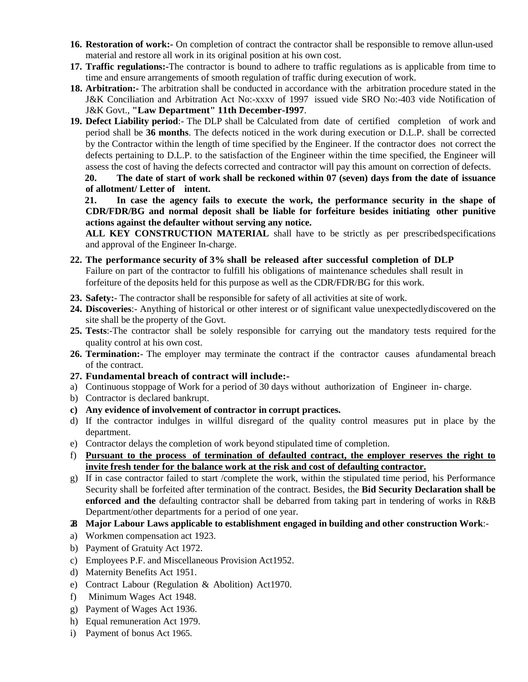- **16. Restoration of work:-** On completion of contract the contractor shall be responsible to remove allun-used material and restore all work in its original position at his own cost.
- **17. Traffic regulations:-**The contractor is bound to adhere to traffic regulations as is applicable from time to time and ensure arrangements of smooth regulation of traffic during execution of work.
- **18. Arbitration:-** The arbitration shall be conducted in accordance with the arbitration procedure stated in the J&K Conciliation and Arbitration Act No:-xxxv of 1997 issued vide SRO No:-403 vide Notification of J&K Govt., **"Law Department" 11th December-I997**.
- **19. Defect Liability period**:- The DLP shall be Calculated from date of certified completion of work and period shall be **36 months**. The defects noticed in the work during execution or D.L.P. shall be corrected by the Contractor within the length of time specified by the Engineer. If the contractor does not correct the defects pertaining to D.L.P. to the satisfaction of the Engineer within the time specified, the Engineer will assess the cost of having the defects corrected and contractor will pay this amount on correction of defects.

**20. The date of start of work shall be reckoned within 07 (seven) days from the date of issuance of allotment/ Letter of intent.** 

**21. In case the agency fails to execute the work, the performance security in the shape of CDR/FDR/BG and normal deposit shall be liable for forfeiture besides initiating other punitive actions against the defaulter without serving any notice.**

**ALL KEY CONSTRUCTION MATERIAL** shall have to be strictly as per prescribedspecifications and approval of the Engineer In-charge.

- **22. The performance security of 3% shall be released after successful completion of DLP** Failure on part of the contractor to fulfill his obligations of maintenance schedules shall result in forfeiture of the deposits held for this purpose as well as the CDR/FDR/BG for this work.
- **23. Safety:** The contractor shall be responsible for safety of all activities at site of work.
- **24. Discoveries**:- Anything of historical or other interest or of significant value unexpectedlydiscovered on the site shall be the property of the Govt.
- **25. Tests**:-The contractor shall be solely responsible for carrying out the mandatory tests required for the quality control at his own cost.
- **26. Termination:** The employer may terminate the contract if the contractor causes afundamental breach of the contract.
- **27. Fundamental breach of contract will include:-**
- a) Continuous stoppage of Work for a period of 30 days without authorization of Engineer in- charge.
- b) Contractor is declared bankrupt.
- **c) Any evidence of involvement of contractor in corrupt practices.**
- d) If the contractor indulges in willful disregard of the quality control measures put in place by the department.
- e) Contractor delays the completion of work beyond stipulated time of completion.
- f) **Pursuant to the process of termination of defaulted contract, the employer reserves the right to invite fresh tender for the balance work at the risk and cost of defaulting contractor.**
- g) If in case contractor failed to start /complete the work, within the stipulated time period, his Performance Security shall be forfeited after termination of the contract. Besides, the **Bid Security Declaration shall be enforced and the** defaulting contractor shall be debarred from taking part in tendering of works in R&B Department/other departments for a period of one year.
- **28. Major Labour Laws applicable to establishment engaged in building and other construction Work**:-
- a) Workmen compensation act 1923.
- b) Payment of Gratuity Act 1972.
- c) Employees P.F. and Miscellaneous Provision Act1952.
- d) Maternity Benefits Act 1951.
- e) Contract Labour (Regulation & Abolition) Act1970.
- f) Minimum Wages Act 1948.
- g) Payment of Wages Act 1936.
- h) Equal remuneration Act 1979.
- i) Payment of bonus Act 1965.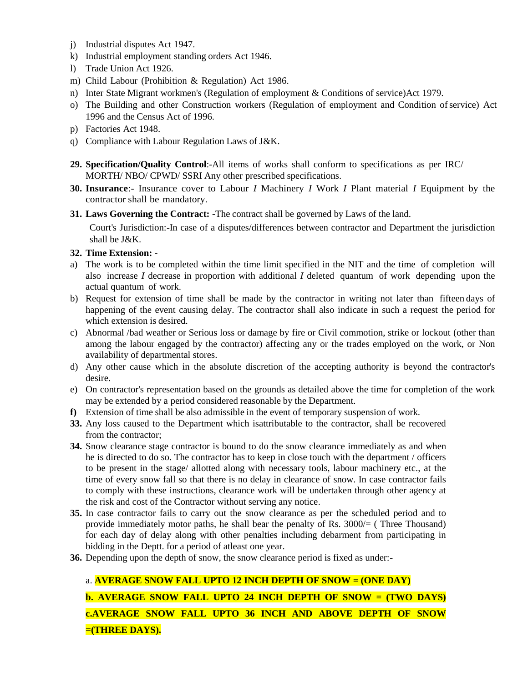- j) Industrial disputes Act 1947.
- k) Industrial employment standing orders Act 1946.
- l) Trade Union Act 1926.
- m) Child Labour (Prohibition & Regulation) Act 1986.
- n) Inter State Migrant workmen's (Regulation of employment & Conditions of service)Act 1979.
- o) The Building and other Construction workers (Regulation of employment and Condition ofservice) Act 1996 and the Census Act of 1996.
- p) Factories Act 1948.
- q) Compliance with Labour Regulation Laws of J&K.
- **29. Specification/Quality Control**:-All items of works shall conform to specifications as per IRC/ MORTH/ NBO/ CPWD/ SSRI Any other prescribed specifications.
- **30. Insurance**:- Insurance cover to Labour *I* Machinery *I* Work *I* Plant material *I* Equipment by the contractor shall be mandatory.
- **31. Laws Governing the Contract: -**The contract shall be governed by Laws of the land.

Court's Jurisdiction:-In case of a disputes/differences between contractor and Department the jurisdiction shall be J&K.

#### **32. Time Extension: -**

- a) The work is to be completed within the time limit specified in the NIT and the time of completion will also increase *I* decrease in proportion with additional *I* deleted quantum of work depending upon the actual quantum of work.
- b) Request for extension of time shall be made by the contractor in writing not later than fifteen days of happening of the event causing delay. The contractor shall also indicate in such a request the period for which extension is desired.
- c) Abnormal /bad weather or Serious loss or damage by fire or Civil commotion, strike or lockout (other than among the labour engaged by the contractor) affecting any or the trades employed on the work, or Non availability of departmental stores.
- d) Any other cause which in the absolute discretion of the accepting authority is beyond the contractor's desire.
- e) On contractor's representation based on the grounds as detailed above the time for completion of the work may be extended by a period considered reasonable by the Department.
- **f)** Extension of time shall be also admissible in the event of temporary suspension of work.
- **33.** Any loss caused to the Department which isattributable to the contractor, shall be recovered from the contractor;
- **34.** Snow clearance stage contractor is bound to do the snow clearance immediately as and when he is directed to do so. The contractor has to keep in close touch with the department / officers to be present in the stage/ allotted along with necessary tools, labour machinery etc., at the time of every snow fall so that there is no delay in clearance of snow. In case contractor fails to comply with these instructions, clearance work will be undertaken through other agency at the risk and cost of the Contractor without serving any notice.
- **35.** In case contractor fails to carry out the snow clearance as per the scheduled period and to provide immediately motor paths, he shall bear the penalty of Rs. 3000/= ( Three Thousand) for each day of delay along with other penalties including debarment from participating in bidding in the Deptt. for a period of atleast one year.
- **36.** Depending upon the depth of snow, the snow clearance period is fixed as under:-

## a. **AVERAGE SNOW FALL UPTO 12 INCH DEPTH OF SNOW = (ONE DAY)**

**b. AVERAGE SNOW FALL UPTO 24 INCH DEPTH OF SNOW = (TWO DAYS) c.AVERAGE SNOW FALL UPTO 36 INCH AND ABOVE DEPTH OF SNOW =(THREE DAYS).**